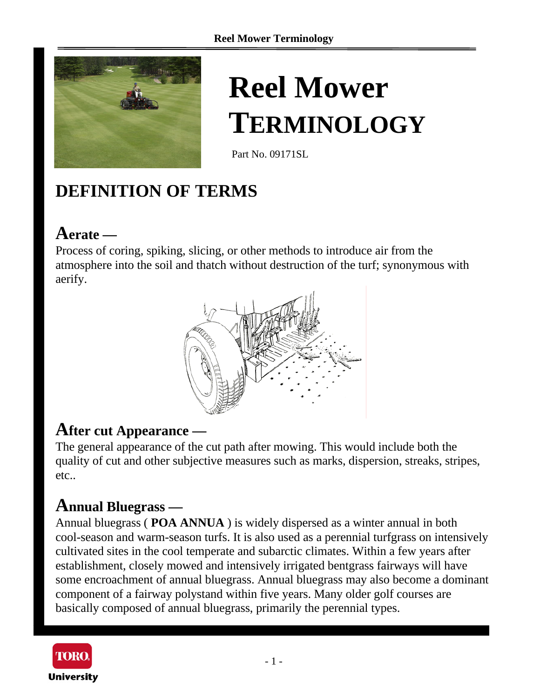

# **Reel Mower TERMINOLOGY**

Part No. 09171SL

# **DEFINITION OF TERMS**

# **Aerate —**

Process of coring, spiking, slicing, or other methods to introduce air from the atmosphere into the soil and thatch without destruction of the turf; synonymous with aerify.



### **After cut Appearance —**

The general appearance of the cut path after mowing. This would include both the quality of cut and other subjective measures such as marks, dispersion, streaks, stripes, etc..

### **Annual Bluegrass —**

Annual bluegrass ( **POA ANNUA** ) is widely dispersed as a winter annual in both cool-season and warm-season turfs. It is also used as a perennial turfgrass on intensively cultivated sites in the cool temperate and subarctic climates. Within a few years after establishment, closely mowed and intensively irrigated bentgrass fairways will have some encroachment of annual bluegrass. Annual bluegrass may also become a dominant component of a fairway polystand within five years. Many older golf courses are basically composed of annual bluegrass, primarily the perennial types.

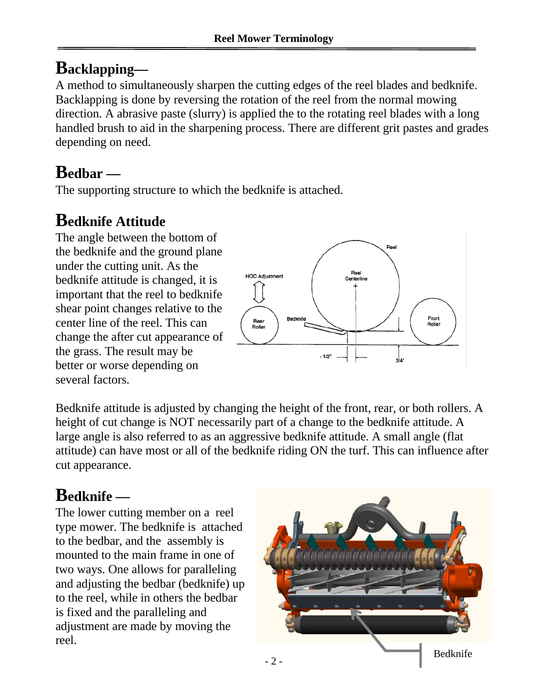# **Backlapping—**

A method to simultaneously sharpen the cutting edges of the reel blades and bedknife. Backlapping is done by reversing the rotation of the reel from the normal mowing direction. A abrasive paste (slurry) is applied the to the rotating reel blades with a long handled brush to aid in the sharpening process. There are different grit pastes and grades depending on need.

# **Bedbar —**

The supporting structure to which the bedknife is attached.

# **Bedknife Attitude**

The angle between the bottom of the bedknife and the ground plane under the cutting unit. As the bedknife attitude is changed, it is important that the reel to bedknife shear point changes relative to the center line of the reel. This can change the after cut appearance of the grass. The result may be better or worse depending on several factors.



Bedknife attitude is adjusted by changing the height of the front, rear, or both rollers. A height of cut change is NOT necessarily part of a change to the bedknife attitude. A large angle is also referred to as an aggressive bedknife attitude. A small angle (flat attitude) can have most or all of the bedknife riding ON the turf. This can influence after cut appearance.

# **Bedknife —**

The lower cutting member on a reel type mower. The bedknife is attached to the bedbar, and the assembly is mounted to the main frame in one of two ways. One allows for paralleling and adjusting the bedbar (bedknife) up to the reel, while in others the bedbar is fixed and the paralleling and adjustment are made by moving the reel.

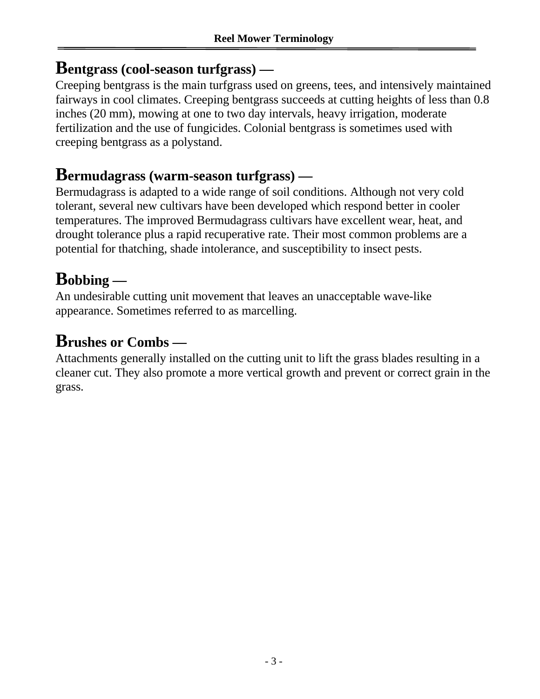### **Bentgrass (cool-season turfgrass) —**

Creeping bentgrass is the main turfgrass used on greens, tees, and intensively maintained fairways in cool climates. Creeping bentgrass succeeds at cutting heights of less than 0.8 inches (20 mm), mowing at one to two day intervals, heavy irrigation, moderate fertilization and the use of fungicides. Colonial bentgrass is sometimes used with creeping bentgrass as a polystand.

### **Bermudagrass (warm-season turfgrass) —**

Bermudagrass is adapted to a wide range of soil conditions. Although not very cold tolerant, several new cultivars have been developed which respond better in cooler temperatures. The improved Bermudagrass cultivars have excellent wear, heat, and drought tolerance plus a rapid recuperative rate. Their most common problems are a potential for thatching, shade intolerance, and susceptibility to insect pests.

### **Bobbing —**

An undesirable cutting unit movement that leaves an unacceptable wave-like appearance. Sometimes referred to as marcelling.

### **Brushes or Combs —**

Attachments generally installed on the cutting unit to lift the grass blades resulting in a cleaner cut. They also promote a more vertical growth and prevent or correct grain in the grass.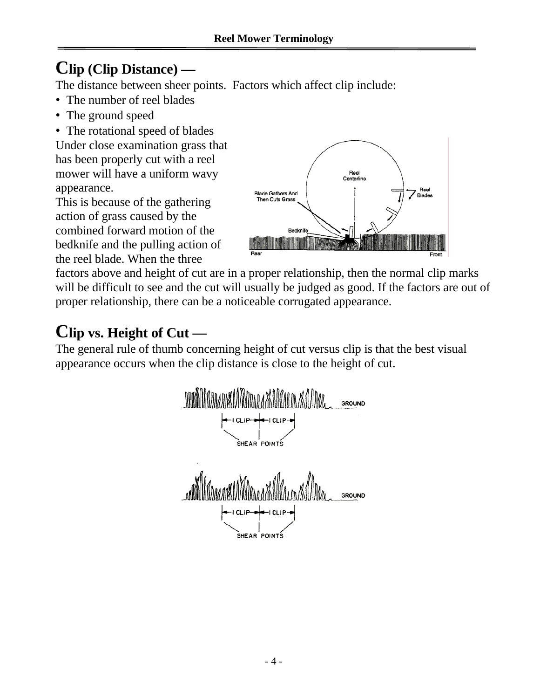# **Clip (Clip Distance) —**

The distance between sheer points. Factors which affect clip include:

- The number of reel blades
- The ground speed
- The rotational speed of blades

Under close examination grass that has been properly cut with a reel mower will have a uniform wavy appearance.

This is because of the gathering action of grass caused by the combined forward motion of the bedknife and the pulling action of the reel blade. When the three



factors above and height of cut are in a proper relationship, then the normal clip marks will be difficult to see and the cut will usually be judged as good. If the factors are out of proper relationship, there can be a noticeable corrugated appearance.

# **Clip vs. Height of Cut —**

The general rule of thumb concerning height of cut versus clip is that the best visual appearance occurs when the clip distance is close to the height of cut.

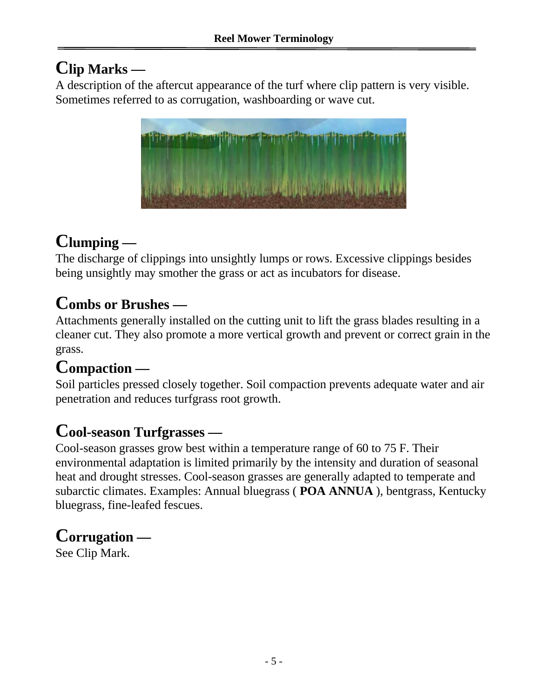# **Clip Marks —**

A description of the aftercut appearance of the turf where clip pattern is very visible. Sometimes referred to as corrugation, washboarding or wave cut.



# **Clumping —**

The discharge of clippings into unsightly lumps or rows. Excessive clippings besides being unsightly may smother the grass or act as incubators for disease.

### **Combs or Brushes —**

Attachments generally installed on the cutting unit to lift the grass blades resulting in a cleaner cut. They also promote a more vertical growth and prevent or correct grain in the grass.

# **Compaction —**

Soil particles pressed closely together. Soil compaction prevents adequate water and air penetration and reduces turfgrass root growth.

### **Cool-season Turfgrasses —**

Cool-season grasses grow best within a temperature range of 60 to 75 F. Their environmental adaptation is limited primarily by the intensity and duration of seasonal heat and drought stresses. Cool-season grasses are generally adapted to temperate and subarctic climates. Examples: Annual bluegrass ( **POA ANNUA** ), bentgrass, Kentucky bluegrass, fine-leafed fescues.

### **Corrugation —**

See Clip Mark.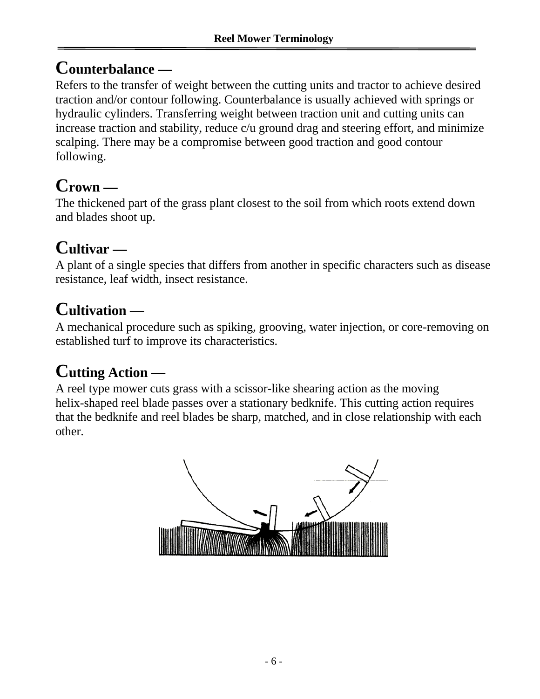### **Counterbalance —**

Refers to the transfer of weight between the cutting units and tractor to achieve desired traction and/or contour following. Counterbalance is usually achieved with springs or hydraulic cylinders. Transferring weight between traction unit and cutting units can increase traction and stability, reduce c/u ground drag and steering effort, and minimize scalping. There may be a compromise between good traction and good contour following.

# **Crown —**

The thickened part of the grass plant closest to the soil from which roots extend down and blades shoot up.

# **Cultivar —**

A plant of a single species that differs from another in specific characters such as disease resistance, leaf width, insect resistance.

# **Cultivation —**

A mechanical procedure such as spiking, grooving, water injection, or core-removing on established turf to improve its characteristics.

# **Cutting Action —**

A reel type mower cuts grass with a scissor-like shearing action as the moving helix-shaped reel blade passes over a stationary bedknife. This cutting action requires that the bedknife and reel blades be sharp, matched, and in close relationship with each other.

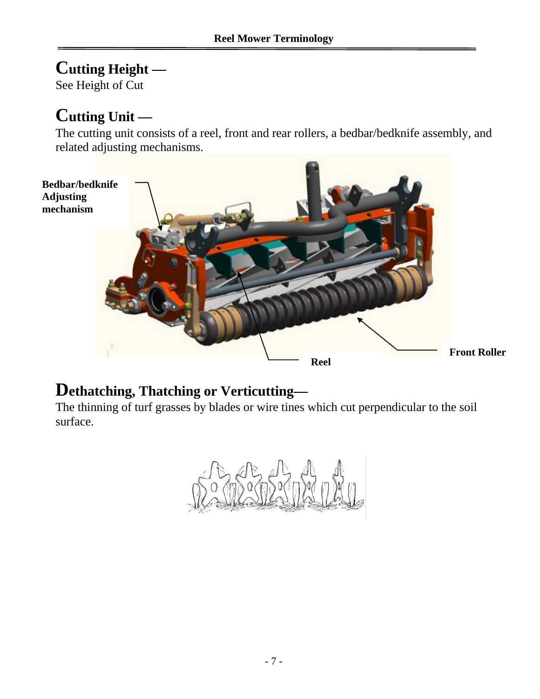### **Cutting Height —**

See Height of Cut

### **Cutting Unit —**

The cutting unit consists of a reel, front and rear rollers, a bedbar/bedknife assembly, and related adjusting mechanisms.



### **Dethatching, Thatching or Verticutting—**

The thinning of turf grasses by blades or wire tines which cut perpendicular to the soil surface.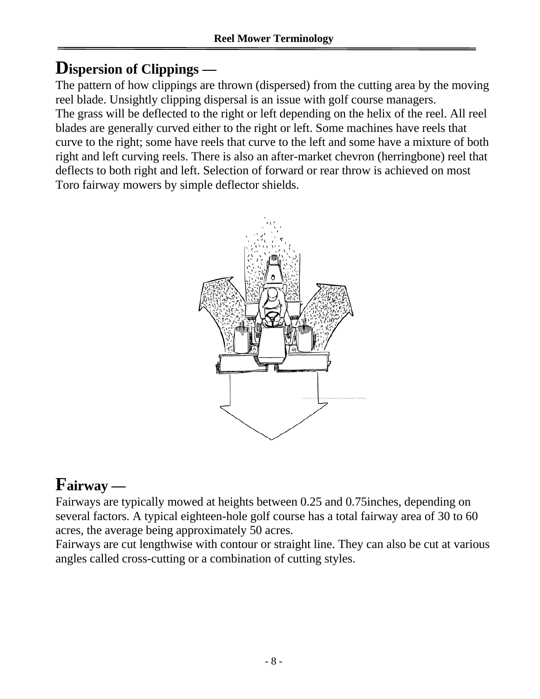### **Dispersion of Clippings —**

The pattern of how clippings are thrown (dispersed) from the cutting area by the moving reel blade. Unsightly clipping dispersal is an issue with golf course managers. The grass will be deflected to the right or left depending on the helix of the reel. All reel blades are generally curved either to the right or left. Some machines have reels that curve to the right; some have reels that curve to the left and some have a mixture of both right and left curving reels. There is also an after-market chevron (herringbone) reel that deflects to both right and left. Selection of forward or rear throw is achieved on most Toro fairway mowers by simple deflector shields.



# **Fairway —**

Fairways are typically mowed at heights between 0.25 and 0.75inches, depending on several factors. A typical eighteen-hole golf course has a total fairway area of 30 to 60 acres, the average being approximately 50 acres.

Fairways are cut lengthwise with contour or straight line. They can also be cut at various angles called cross-cutting or a combination of cutting styles.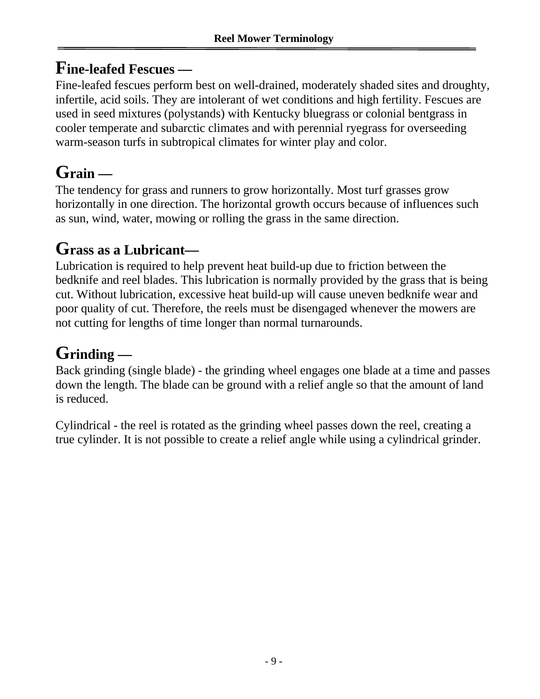### **Fine-leafed Fescues —**

Fine-leafed fescues perform best on well-drained, moderately shaded sites and droughty, infertile, acid soils. They are intolerant of wet conditions and high fertility. Fescues are used in seed mixtures (polystands) with Kentucky bluegrass or colonial bentgrass in cooler temperate and subarctic climates and with perennial ryegrass for overseeding warm-season turfs in subtropical climates for winter play and color.

# **Grain —**

The tendency for grass and runners to grow horizontally. Most turf grasses grow horizontally in one direction. The horizontal growth occurs because of influences such as sun, wind, water, mowing or rolling the grass in the same direction.

### **Grass as a Lubricant—**

Lubrication is required to help prevent heat build-up due to friction between the bedknife and reel blades. This lubrication is normally provided by the grass that is being cut. Without lubrication, excessive heat build-up will cause uneven bedknife wear and poor quality of cut. Therefore, the reels must be disengaged whenever the mowers are not cutting for lengths of time longer than normal turnarounds.

# **Grinding —**

Back grinding (single blade) - the grinding wheel engages one blade at a time and passes down the length. The blade can be ground with a relief angle so that the amount of land is reduced.

Cylindrical - the reel is rotated as the grinding wheel passes down the reel, creating a true cylinder. It is not possible to create a relief angle while using a cylindrical grinder.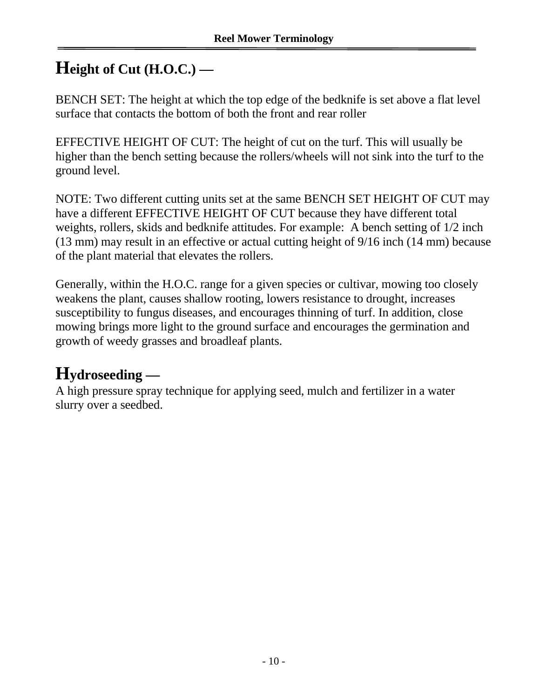### **Height of Cut (H.O.C.) —**

BENCH SET: The height at which the top edge of the bedknife is set above a flat level surface that contacts the bottom of both the front and rear roller

EFFECTIVE HEIGHT OF CUT: The height of cut on the turf. This will usually be higher than the bench setting because the rollers/wheels will not sink into the turf to the ground level.

NOTE: Two different cutting units set at the same BENCH SET HEIGHT OF CUT may have a different EFFECTIVE HEIGHT OF CUT because they have different total weights, rollers, skids and bedknife attitudes. For example: A bench setting of 1/2 inch (13 mm) may result in an effective or actual cutting height of 9/16 inch (14 mm) because of the plant material that elevates the rollers.

Generally, within the H.O.C. range for a given species or cultivar, mowing too closely weakens the plant, causes shallow rooting, lowers resistance to drought, increases susceptibility to fungus diseases, and encourages thinning of turf. In addition, close mowing brings more light to the ground surface and encourages the germination and growth of weedy grasses and broadleaf plants.

# **Hydroseeding —**

A high pressure spray technique for applying seed, mulch and fertilizer in a water slurry over a seedbed.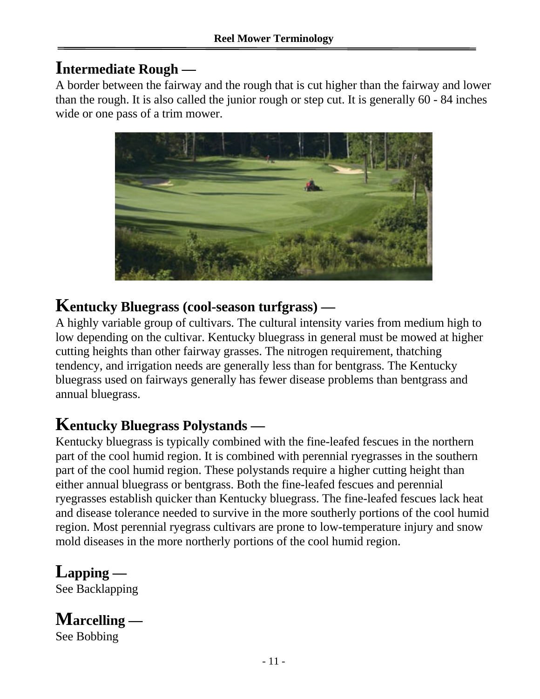### **Intermediate Rough —**

A border between the fairway and the rough that is cut higher than the fairway and lower than the rough. It is also called the junior rough or step cut. It is generally 60 - 84 inches wide or one pass of a trim mower.



### **Kentucky Bluegrass (cool-season turfgrass) —**

A highly variable group of cultivars. The cultural intensity varies from medium high to low depending on the cultivar. Kentucky bluegrass in general must be mowed at higher cutting heights than other fairway grasses. The nitrogen requirement, thatching tendency, and irrigation needs are generally less than for bentgrass. The Kentucky bluegrass used on fairways generally has fewer disease problems than bentgrass and annual bluegrass.

### **Kentucky Bluegrass Polystands —**

Kentucky bluegrass is typically combined with the fine-leafed fescues in the northern part of the cool humid region. It is combined with perennial ryegrasses in the southern part of the cool humid region. These polystands require a higher cutting height than either annual bluegrass or bentgrass. Both the fine-leafed fescues and perennial ryegrasses establish quicker than Kentucky bluegrass. The fine-leafed fescues lack heat and disease tolerance needed to survive in the more southerly portions of the cool humid region. Most perennial ryegrass cultivars are prone to low-temperature injury and snow mold diseases in the more northerly portions of the cool humid region.

# **Lapping —**

See Backlapping

# **Marcelling —**

See Bobbing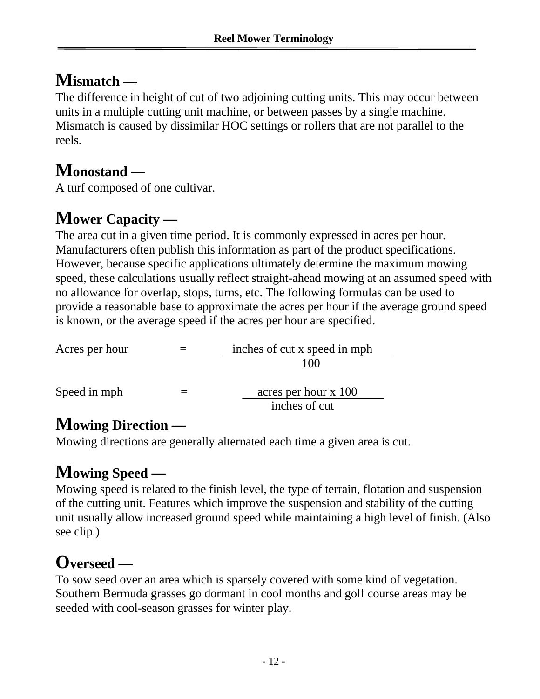### **Mismatch —**

The difference in height of cut of two adjoining cutting units. This may occur between units in a multiple cutting unit machine, or between passes by a single machine. Mismatch is caused by dissimilar HOC settings or rollers that are not parallel to the reels.

### **Monostand —**

A turf composed of one cultivar.

# **Mower Capacity —**

The area cut in a given time period. It is commonly expressed in acres per hour. Manufacturers often publish this information as part of the product specifications. However, because specific applications ultimately determine the maximum mowing speed, these calculations usually reflect straight-ahead mowing at an assumed speed with no allowance for overlap, stops, turns, etc. The following formulas can be used to provide a reasonable base to approximate the acres per hour if the average ground speed is known, or the average speed if the acres per hour are specified.

| Acres per hour | inches of cut x speed in mph |  |  |
|----------------|------------------------------|--|--|
|                | 100                          |  |  |
| Speed in mph   | acres per hour x 100         |  |  |
|                | inches of cut                |  |  |

### **Mowing Direction —**

Mowing directions are generally alternated each time a given area is cut.

# **Mowing Speed —**

Mowing speed is related to the finish level, the type of terrain, flotation and suspension of the cutting unit. Features which improve the suspension and stability of the cutting unit usually allow increased ground speed while maintaining a high level of finish. (Also see clip.)

# **Overseed —**

To sow seed over an area which is sparsely covered with some kind of vegetation. Southern Bermuda grasses go dormant in cool months and golf course areas may be seeded with cool-season grasses for winter play.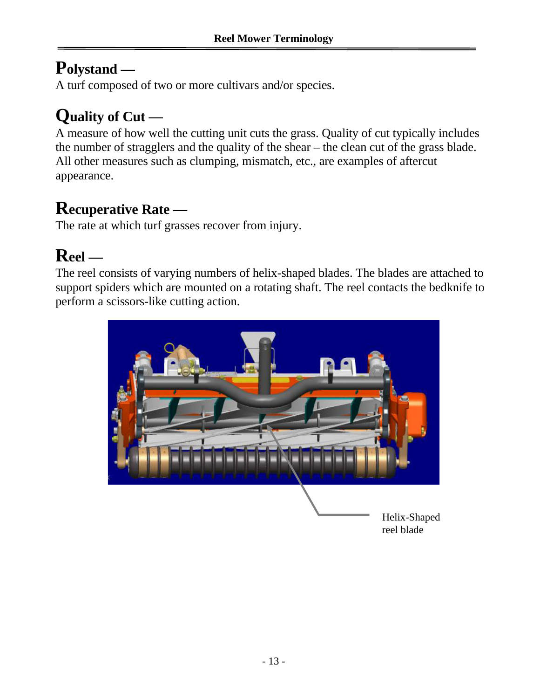### **Polystand —**

A turf composed of two or more cultivars and/or species.

# **Quality of Cut —**

A measure of how well the cutting unit cuts the grass. Quality of cut typically includes the number of stragglers and the quality of the shear – the clean cut of the grass blade. All other measures such as clumping, mismatch, etc., are examples of aftercut appearance.

### **Recuperative Rate —**

The rate at which turf grasses recover from injury.

# **Reel —**

The reel consists of varying numbers of helix-shaped blades. The blades are attached to support spiders which are mounted on a rotating shaft. The reel contacts the bedknife to perform a scissors-like cutting action.



reel blade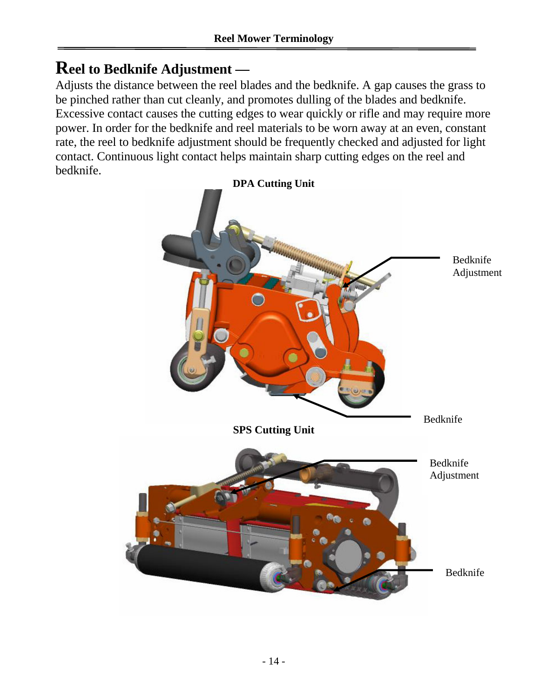### **Reel to Bedknife Adjustment —**

Adjusts the distance between the reel blades and the bedknife. A gap causes the grass to be pinched rather than cut cleanly, and promotes dulling of the blades and bedknife. Excessive contact causes the cutting edges to wear quickly or rifle and may require more power. In order for the bedknife and reel materials to be worn away at an even, constant rate, the reel to bedknife adjustment should be frequently checked and adjusted for light contact. Continuous light contact helps maintain sharp cutting edges on the reel and bedknife.

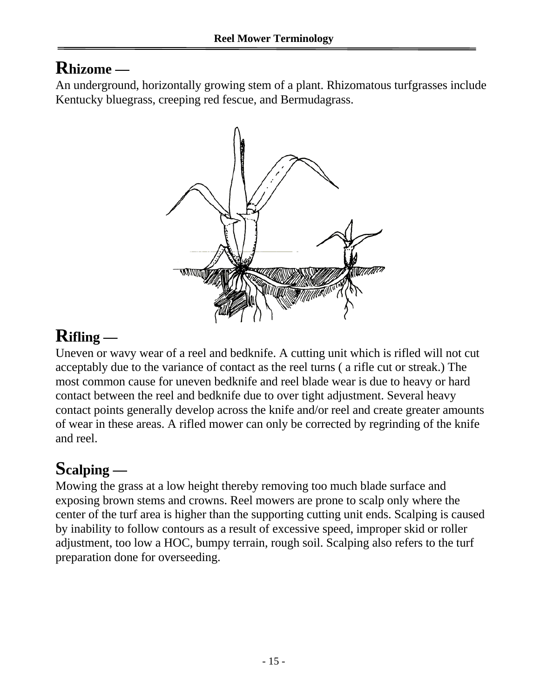### **Rhizome —**

An underground, horizontally growing stem of a plant. Rhizomatous turfgrasses include Kentucky bluegrass, creeping red fescue, and Bermudagrass.



# **Rifling —**

Uneven or wavy wear of a reel and bedknife. A cutting unit which is rifled will not cut acceptably due to the variance of contact as the reel turns ( a rifle cut or streak.) The most common cause for uneven bedknife and reel blade wear is due to heavy or hard contact between the reel and bedknife due to over tight adjustment. Several heavy contact points generally develop across the knife and/or reel and create greater amounts of wear in these areas. A rifled mower can only be corrected by regrinding of the knife and reel.

### **Scalping —**

Mowing the grass at a low height thereby removing too much blade surface and exposing brown stems and crowns. Reel mowers are prone to scalp only where the center of the turf area is higher than the supporting cutting unit ends. Scalping is caused by inability to follow contours as a result of excessive speed, improper skid or roller adjustment, too low a HOC, bumpy terrain, rough soil. Scalping also refers to the turf preparation done for overseeding.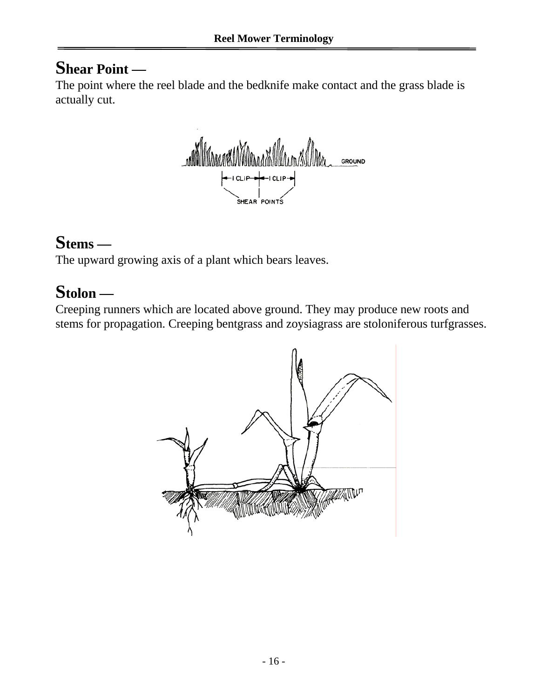### **Shear Point —**

The point where the reel blade and the bedknife make contact and the grass blade is actually cut.

walla wandi wandi Marc GROUND CLIP<sup></sup>  $101P$ SHEAR POINTS

### **Stems —**

The upward growing axis of a plant which bears leaves.

### **Stolon —**

Creeping runners which are located above ground. They may produce new roots and stems for propagation. Creeping bentgrass and zoysiagrass are stoloniferous turfgrasses.

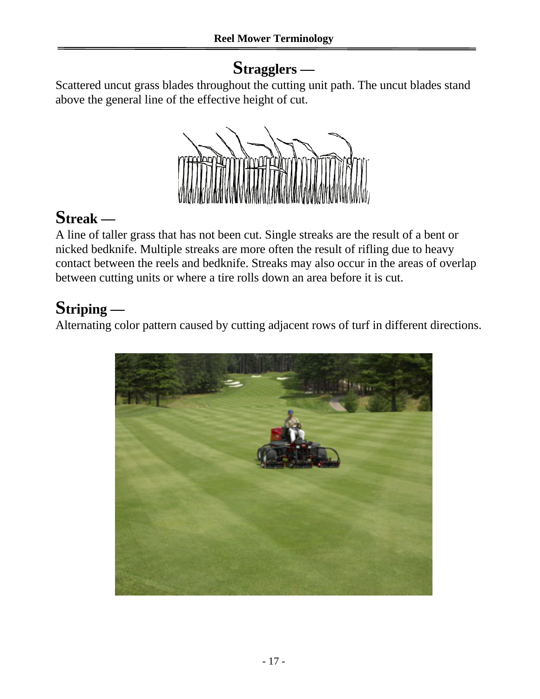### **Stragglers —**

Scattered uncut grass blades throughout the cutting unit path. The uncut blades stand above the general line of the effective height of cut.



# **Streak —**

A line of taller grass that has not been cut. Single streaks are the result of a bent or nicked bedknife. Multiple streaks are more often the result of rifling due to heavy contact between the reels and bedknife. Streaks may also occur in the areas of overlap between cutting units or where a tire rolls down an area before it is cut.

# **Striping —**

Alternating color pattern caused by cutting adjacent rows of turf in different directions.

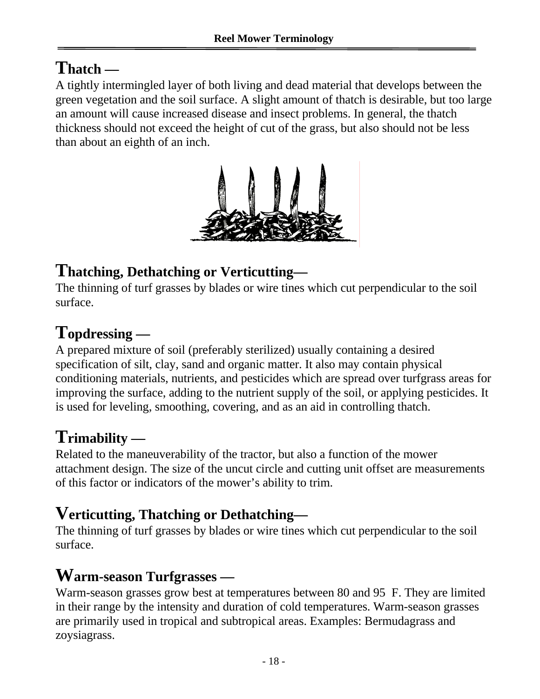### **Thatch —**

A tightly intermingled layer of both living and dead material that develops between the green vegetation and the soil surface. A slight amount of thatch is desirable, but too large an amount will cause increased disease and insect problems. In general, the thatch thickness should not exceed the height of cut of the grass, but also should not be less than about an eighth of an inch.



### **Thatching, Dethatching or Verticutting—**

The thinning of turf grasses by blades or wire tines which cut perpendicular to the soil surface.

### **Topdressing —**

A prepared mixture of soil (preferably sterilized) usually containing a desired specification of silt, clay, sand and organic matter. It also may contain physical conditioning materials, nutrients, and pesticides which are spread over turfgrass areas for improving the surface, adding to the nutrient supply of the soil, or applying pesticides. It is used for leveling, smoothing, covering, and as an aid in controlling thatch.

# **Trimability —**

Related to the maneuverability of the tractor, but also a function of the mower attachment design. The size of the uncut circle and cutting unit offset are measurements of this factor or indicators of the mower's ability to trim.

### **Verticutting, Thatching or Dethatching—**

The thinning of turf grasses by blades or wire tines which cut perpendicular to the soil surface.

### **Warm-season Turfgrasses —**

Warm-season grasses grow best at temperatures between 80 and 95 F. They are limited in their range by the intensity and duration of cold temperatures. Warm-season grasses are primarily used in tropical and subtropical areas. Examples: Bermudagrass and zoysiagrass.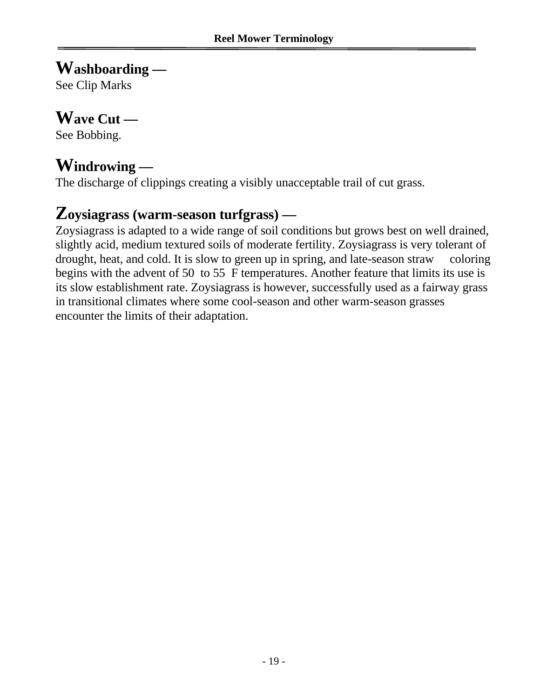### **Washboarding —**

See Clip Marks

### **Wave Cut —**

See Bobbing.

### **Windrowing —**

The discharge of clippings creating a visibly unacceptable trail of cut grass.

### **Zoysiagrass (warm-season turfgrass) —**

Zoysiagrass is adapted to a wide range of soil conditions but grows best on well drained, slightly acid, medium textured soils of moderate fertility. Zoysiagrass is very tolerant of drought, heat, and cold. It is slow to green up in spring, and late-season straw coloring begins with the advent of 50 to 55 F temperatures. Another feature that limits its use is its slow establishment rate. Zoysiagrass is however, successfully used as a fairway grass in transitional climates where some cool-season and other warm-season grasses encounter the limits of their adaptation.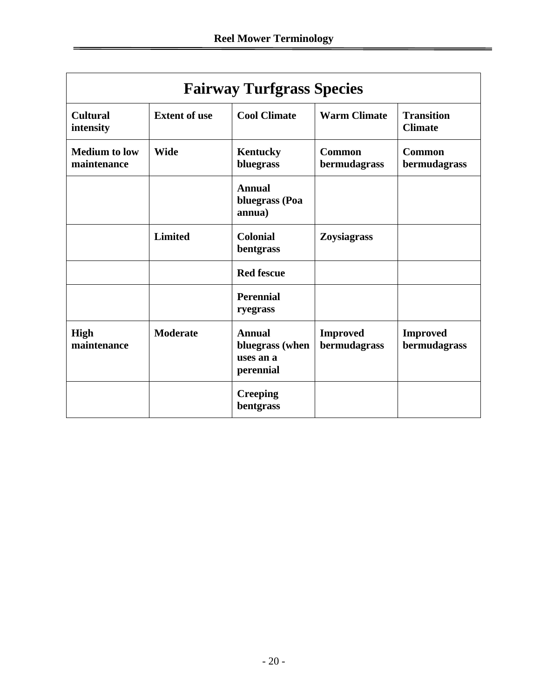| <b>Fairway Turfgrass Species</b>    |                      |                                                            |                                 |                                     |  |
|-------------------------------------|----------------------|------------------------------------------------------------|---------------------------------|-------------------------------------|--|
| <b>Cultural</b><br>intensity        | <b>Extent of use</b> | <b>Cool Climate</b>                                        | <b>Warm Climate</b>             | <b>Transition</b><br><b>Climate</b> |  |
| <b>Medium</b> to low<br>maintenance | <b>Wide</b>          | <b>Kentucky</b><br>bluegrass                               | <b>Common</b><br>bermudagrass   | <b>Common</b><br>bermudagrass       |  |
|                                     |                      | Annual<br>bluegrass (Poa<br>annua)                         |                                 |                                     |  |
|                                     | <b>Limited</b>       | <b>Colonial</b><br>bentgrass                               | Zoysiagrass                     |                                     |  |
|                                     |                      | <b>Red fescue</b>                                          |                                 |                                     |  |
|                                     |                      | <b>Perennial</b><br>ryegrass                               |                                 |                                     |  |
| <b>High</b><br>maintenance          | <b>Moderate</b>      | <b>Annual</b><br>bluegrass (when<br>uses an a<br>perennial | <b>Improved</b><br>bermudagrass | <b>Improved</b><br>bermudagrass     |  |
|                                     |                      | <b>Creeping</b><br>bentgrass                               |                                 |                                     |  |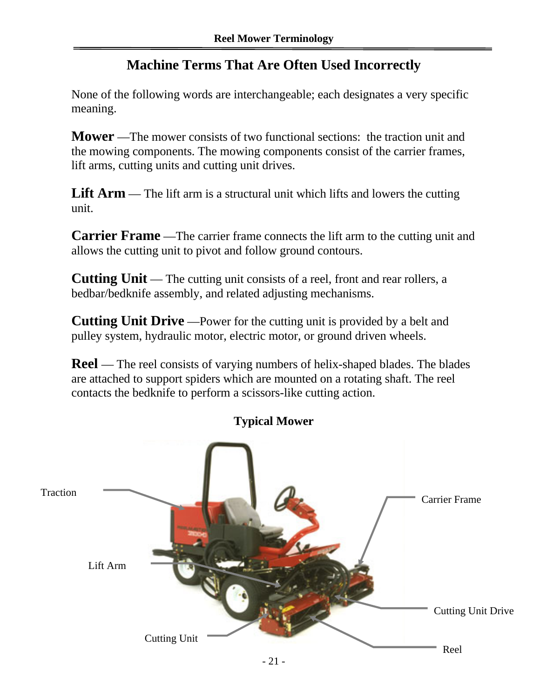### **Machine Terms That Are Often Used Incorrectly**

None of the following words are interchangeable; each designates a very specific meaning.

**Mower** —The mower consists of two functional sections: the traction unit and the mowing components. The mowing components consist of the carrier frames, lift arms, cutting units and cutting unit drives.

**Lift Arm** — The lift arm is a structural unit which lifts and lowers the cutting unit.

**Carrier Frame** —The carrier frame connects the lift arm to the cutting unit and allows the cutting unit to pivot and follow ground contours.

**Cutting Unit** — The cutting unit consists of a reel, front and rear rollers, a bedbar/bedknife assembly, and related adjusting mechanisms.

**Cutting Unit Drive** —Power for the cutting unit is provided by a belt and pulley system, hydraulic motor, electric motor, or ground driven wheels.

**Reel** — The reel consists of varying numbers of helix-shaped blades. The blades are attached to support spiders which are mounted on a rotating shaft. The reel contacts the bedknife to perform a scissors-like cutting action.